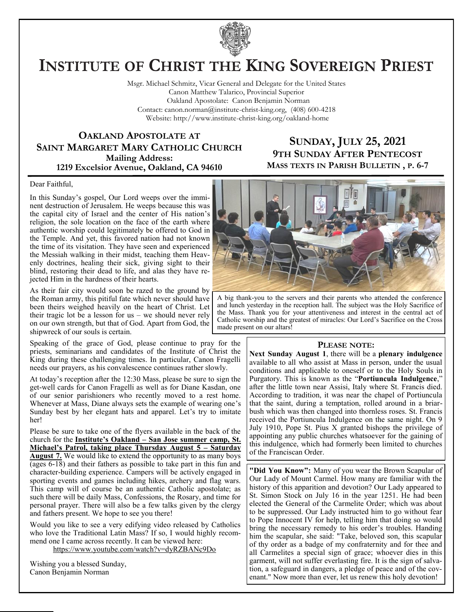

# **INSTITUTE OF CHRIST THE KING SOVEREIGN PRIEST**

Msgr. Michael Schmitz, Vicar General and Delegate for the United States Canon Matthew Talarico, Provincial Superior Oakland Apostolate: Canon Benjamin Norman Contact: canon.norman@institute-christ-king.org, (408) 600-4218 Website: http://www.institute-christ-king.org/oakland-home

#### **OAKLAND APOSTOLATE AT SAINT MARGARET MARY CATHOLIC CHURCH Mailing Address: 1219 Excelsior Avenue, Oakland, CA 94610**

### **SUNDAY, JULY 25, 2021 9TH SUNDAY AFTER PENTECOST MASS TEXTS IN PARISH BULLETIN , P. 6-7**

#### Dear Faithful,

In this Sunday's gospel, Our Lord weeps over the imminent destruction of Jerusalem. He weeps because this was the capital city of Israel and the center of His nation's religion, the sole location on the face of the earth where authentic worship could legitimately be offered to God in the Temple. And yet, this favored nation had not known the time of its visitation. They have seen and experienced the Messiah walking in their midst, teaching them Heavenly doctrines, healing their sick, giving sight to their blind, restoring their dead to life, and alas they have rejected Him in the hardness of their hearts.

As their fair city would soon be razed to the ground by the Roman army, this pitiful fate which never should have been theirs weighed heavily on the heart of Christ. Let their tragic lot be a lesson for us – we should never rely on our own strength, but that of God. Apart from God, the shipwreck of our souls is certain.

Speaking of the grace of God, please continue to pray for the priests, seminarians and candidates of the Institute of Christ the King during these challenging times. In particular, Canon Fragelli needs our prayers, as his convalescence continues rather slowly.

At today's reception after the 12:30 Mass, please be sure to sign the get-well cards for Canon Fragelli as well as for Diane Kasdan, one of our senior parishioners who recently moved to a rest home. Whenever at Mass, Diane always sets the example of wearing one's Sunday best by her elegant hats and apparel. Let's try to imitate her!

Please be sure to take one of the flyers available in the back of the church for the **Institute's Oakland – San Jose summer camp, St. Michael's Patrol, taking place Thursday August 5 – Saturday August 7.** We would like to extend the opportunity to as many boys  $(qges 6-18)$  and their fathers as possible to take part in this fun and character-building experience. Campers will be actively engaged in sporting events and games including hikes, archery and flag wars. This camp will of course be an authentic Catholic apostolate; as such there will be daily Mass, Confessions, the Rosary, and time for personal prayer. There will also be a few talks given by the clergy and fathers present. We hope to see you there!

Would you like to see a very edifying video released by Catholics who love the Traditional Latin Mass? If so, I would highly recommend one I came across recently. It can be viewed here: <https://www.youtube.com/watch?v=dyRZBANc9Do>

Wishing you a blessed Sunday, Canon Benjamin Norman



A big thank-you to the servers and their parents who attended the conference and lunch yesterday in the reception hall. The subject was the Holy Sacrifice of the Mass. Thank you for your attentiveness and interest in the central act of Catholic worship and the greatest of miracles: Our Lord's Sacrifice on the Cross made present on our altars!

#### **PLEASE NOTE:**

**Next Sunday August 1**, there will be a **plenary indulgence** available to all who assist at Mass in person, under the usual conditions and applicable to oneself or to the Holy Souls in Purgatory. This is known as the "**Portiuncula Indulgence**," after the little town near Assisi, Italy where St. Francis died. According to tradition, it was near the chapel of Portiuncula that the saint, during a temptation, rolled around in a briarbush which was then changed into thornless roses. St. Francis received the Portiuncula Indulgence on the same night. On 9 July 1910, Pope St. Pius X granted bishops the privilege of appointing any public churches whatsoever for the gaining of this indulgence, which had formerly been limited to churches of the Franciscan Order.

**"Did You Know":** Many of you wear the Brown Scapular of Our Lady of Mount Carmel. How many are familiar with the history of this apparition and devotion? Our Lady appeared to St. Simon Stock on July 16 in the year 1251. He had been elected the General of the Carmelite Order; which was about to be suppressed. Our Lady instructed him to go without fear to Pope Innocent IV for help, telling him that doing so would bring the necessary remedy to his order's troubles. Handing him the scapular, she said: "Take, beloved son, this scapular of thy order as a badge of my confraternity and for thee and all Carmelites a special sign of grace; whoever dies in this garment, will not suffer everlasting fire. It is the sign of salvation, a safeguard in dangers, a pledge of peace and of the covenant." Now more than ever, let us renew this holy devotion!